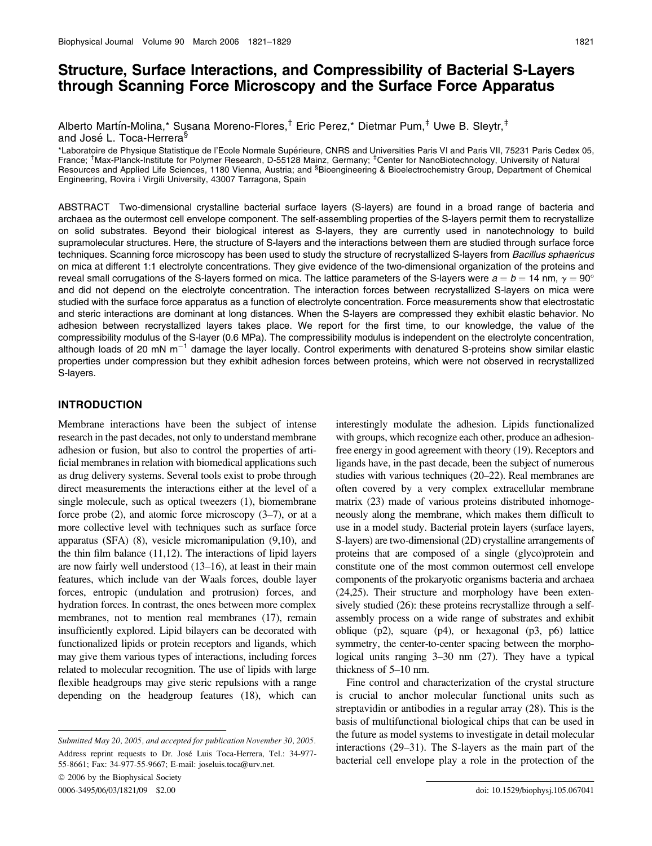# Structure, Surface Interactions, and Compressibility of Bacterial S-Layers through Scanning Force Microscopy and the Surface Force Apparatus

Alberto Martín-Molina,\* Susana Moreno-Flores, $^{\dagger}$  Eric Perez,\* Dietmar Pum, $^{\ddagger}$  Uwe B. Sleytr, $^{\ddagger}$ and José L. Toca-Herrera<sup>§</sup>

\*Laboratoire de Physique Statistique de l'Ecole Normale Supérieure, CNRS and Universities Paris VI and Paris VII, 75231 Paris Cedex 05, France; †Max-Planck-Institute for Polymer Research, D-55128 Mainz, Germany; ‡Center for NanoBiotechnology, University of Natural Resources and Applied Life Sciences, 1180 Vienna, Austria; and <sup>§</sup>Bioengineering & Bioelectrochemistry Group, Department of Chemical Engineering, Rovira i Virgili University, 43007 Tarragona, Spain

ABSTRACT Two-dimensional crystalline bacterial surface layers (S-layers) are found in a broad range of bacteria and archaea as the outermost cell envelope component. The self-assembling properties of the S-layers permit them to recrystallize on solid substrates. Beyond their biological interest as S-layers, they are currently used in nanotechnology to build supramolecular structures. Here, the structure of S-layers and the interactions between them are studied through surface force techniques. Scanning force microscopy has been used to study the structure of recrystallized S-layers from Bacillus sphaericus on mica at different 1:1 electrolyte concentrations. They give evidence of the two-dimensional organization of the proteins and reveal small corrugations of the S-layers formed on mica. The lattice parameters of the S-layers were  $a = b = 14$  nm,  $\gamma = 90^{\circ}$ <br>and did not denend on the electrolyte concentration. The interaction forces between recrysta and did not depend on the electrolyte concentration. The interaction forces between recrystallized S-layers on mica were studied with the surface force apparatus as a function of electrolyte concentration. Force measurements show that electrostatic and steric interactions are dominant at long distances. When the S-layers are compressed they exhibit elastic behavior. No adhesion between recrystallized layers takes place. We report for the first time, to our knowledge, the value of the compressibility modulus of the S-layer (0.6 MPa). The compressibility modulus is independent on the electrolyte concentration, although loads of 20 mN m<sup>-1</sup> damage the layer locally. Control experiments with denatured S-proteins show similar elastic properties under compression but they exhibit adhesion forces between proteins, which were not observed in recrystallized S-layers.

# INTRODUCTION

Membrane interactions have been the subject of intense research in the past decades, not only to understand membrane adhesion or fusion, but also to control the properties of artificial membranes in relation with biomedical applications such as drug delivery systems. Several tools exist to probe through direct measurements the interactions either at the level of a single molecule, such as optical tweezers (1), biomembrane force probe (2), and atomic force microscopy (3–7), or at a more collective level with techniques such as surface force apparatus (SFA) (8), vesicle micromanipulation (9,10), and the thin film balance (11,12). The interactions of lipid layers are now fairly well understood (13–16), at least in their main features, which include van der Waals forces, double layer forces, entropic (undulation and protrusion) forces, and hydration forces. In contrast, the ones between more complex membranes, not to mention real membranes (17), remain insufficiently explored. Lipid bilayers can be decorated with functionalized lipids or protein receptors and ligands, which may give them various types of interactions, including forces related to molecular recognition. The use of lipids with large flexible headgroups may give steric repulsions with a range depending on the headgroup features (18), which can

Submitted May 20, 2005, and accepted for publication November 30, 2005. Address reprint requests to Dr. José Luis Toca-Herrera, Tel.: 34-977-55-8661; Fax: 34-977-55-9667; E-mail: joseluis.toca@urv.net.

2006 by the Biophysical Society

interestingly modulate the adhesion. Lipids functionalized with groups, which recognize each other, produce an adhesionfree energy in good agreement with theory (19). Receptors and ligands have, in the past decade, been the subject of numerous studies with various techniques (20–22). Real membranes are often covered by a very complex extracellular membrane matrix (23) made of various proteins distributed inhomogeneously along the membrane, which makes them difficult to use in a model study. Bacterial protein layers (surface layers, S-layers) are two-dimensional (2D) crystalline arrangements of proteins that are composed of a single (glyco)protein and constitute one of the most common outermost cell envelope components of the prokaryotic organisms bacteria and archaea (24,25). Their structure and morphology have been extensively studied (26): these proteins recrystallize through a selfassembly process on a wide range of substrates and exhibit oblique (p2), square (p4), or hexagonal (p3, p6) lattice symmetry, the center-to-center spacing between the morphological units ranging 3–30 nm (27). They have a typical thickness of 5–10 nm.

Fine control and characterization of the crystal structure is crucial to anchor molecular functional units such as streptavidin or antibodies in a regular array (28). This is the basis of multifunctional biological chips that can be used in the future as model systems to investigate in detail molecular interactions (29–31). The S-layers as the main part of the bacterial cell envelope play a role in the protection of the

<sup>0006-3495/06/03/1821/09 \$2.00</sup> doi: 10.1529/biophysj.105.067041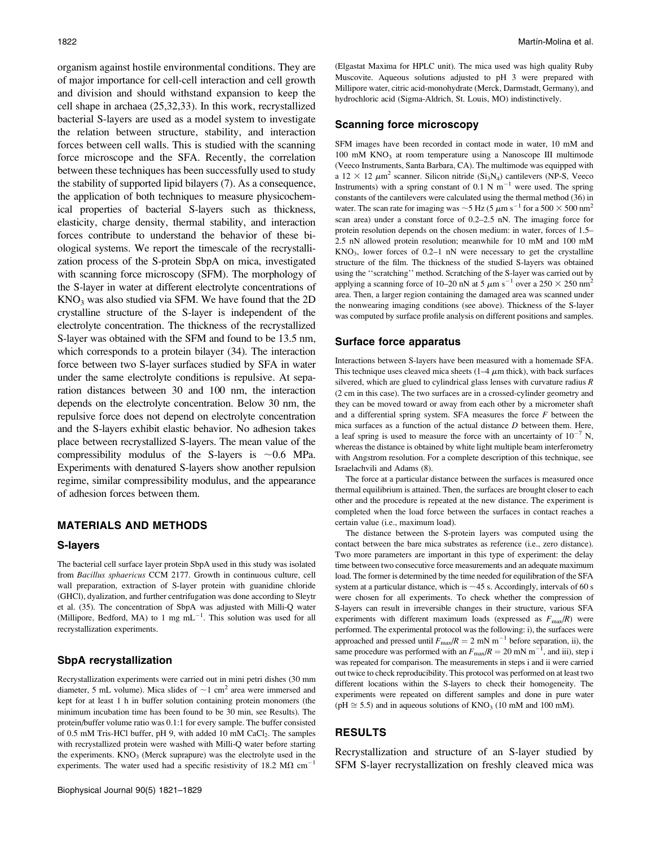organism against hostile environmental conditions. They are of major importance for cell-cell interaction and cell growth and division and should withstand expansion to keep the cell shape in archaea (25,32,33). In this work, recrystallized bacterial S-layers are used as a model system to investigate the relation between structure, stability, and interaction forces between cell walls. This is studied with the scanning force microscope and the SFA. Recently, the correlation between these techniques has been successfully used to study the stability of supported lipid bilayers (7). As a consequence, the application of both techniques to measure physicochemical properties of bacterial S-layers such as thickness, elasticity, charge density, thermal stability, and interaction forces contribute to understand the behavior of these biological systems. We report the timescale of the recrystallization process of the S-protein SbpA on mica, investigated with scanning force microscopy (SFM). The morphology of the S-layer in water at different electrolyte concentrations of  $KNO<sub>3</sub>$  was also studied via SFM. We have found that the 2D crystalline structure of the S-layer is independent of the electrolyte concentration. The thickness of the recrystallized S-layer was obtained with the SFM and found to be 13.5 nm, which corresponds to a protein bilayer (34). The interaction force between two S-layer surfaces studied by SFA in water under the same electrolyte conditions is repulsive. At separation distances between 30 and 100 nm, the interaction depends on the electrolyte concentration. Below 30 nm, the repulsive force does not depend on electrolyte concentration and the S-layers exhibit elastic behavior. No adhesion takes place between recrystallized S-layers. The mean value of the compressibility modulus of the S-layers is  $\sim 0.6$  MPa. Experiments with denatured S-layers show another repulsion regime, similar compressibility modulus, and the appearance of adhesion forces between them.

## MATERIALS AND METHODS

#### S-layers

The bacterial cell surface layer protein SbpA used in this study was isolated from Bacillus sphaericus CCM 2177. Growth in continuous culture, cell wall preparation, extraction of S-layer protein with guanidine chloride (GHCl), dyalization, and further centrifugation was done according to Sleytr et al. (35). The concentration of SbpA was adjusted with Milli-Q water (Millipore, Bedford, MA) to 1 mg  $mL^{-1}$ . This solution was used for all recrystallization experiments.

#### SbpA recrystallization

Recrystallization experiments were carried out in mini petri dishes (30 mm diameter, 5 mL volume). Mica slides of  $\sim$ 1 cm<sup>2</sup> area were immersed and kept for at least 1 h in buffer solution containing protein monomers (the minimum incubation time has been found to be 30 min, see Results). The protein/buffer volume ratio was 0.1:1 for every sample. The buffer consisted of 0.5 mM Tris-HCl buffer, pH 9, with added 10 mM CaCl<sub>2</sub>. The samples with recrystallized protein were washed with Milli-Q water before starting the experiments.  $KNO<sub>3</sub>$  (Merck suprapure) was the electrolyte used in the experiments. The water used had a specific resistivity of 18.2 M $\Omega$  cm<sup>-1</sup>

(Elgastat Maxima for HPLC unit). The mica used was high quality Ruby Muscovite. Aqueous solutions adjusted to pH 3 were prepared with Millipore water, citric acid-monohydrate (Merck, Darmstadt, Germany), and hydrochloric acid (Sigma-Aldrich, St. Louis, MO) indistinctively.

#### Scanning force microscopy

SFM images have been recorded in contact mode in water, 10 mM and  $100$  mM KNO<sub>3</sub> at room temperature using a Nanoscope III multimode (Veeco Instruments, Santa Barbara, CA). The multimode was equipped with a  $12 \times 12 \ \mu m^2$  scanner. Silicon nitride (Si<sub>3</sub>N<sub>4</sub>) cantilevers (NP-S, Veeco Instruments) with a spring constant of 0.1 N  $m^{-1}$  were used. The spring constants of the cantilevers were calculated using the thermal method (36) in water. The scan rate for imaging was  $\sim$  5 Hz (5  $\mu$ m s<sup>-1</sup> for a 500  $\times$  500 nm<sup>2</sup><br>scan area) under a constant force of 0.2.2.5 nM. The imaging force for scan area) under a constant force of 0.2–2.5 nN. The imaging force for protein resolution depends on the chosen medium: in water, forces of 1.5– 2.5 nN allowed protein resolution; meanwhile for 10 mM and 100 mM  $KNO<sub>3</sub>$ , lower forces of 0.2–1 nN were necessary to get the crystalline structure of the film. The thickness of the studied S-layers was obtained using the ''scratching'' method. Scratching of the S-layer was carried out by applying a scanning force of  $10-20$  nN at  $5 \mu m s^{-1}$  over a  $250 \times 250$  nm<sup>2</sup> area. Then, a larger region containing the damaged area was scanned under the nonwearing imaging conditions (see above). Thickness of the S-layer was computed by surface profile analysis on different positions and samples.

#### Surface force apparatus

Interactions between S-layers have been measured with a homemade SFA. This technique uses cleaved mica sheets  $(1-4 \mu m)$  thick), with back surfaces silvered, which are glued to cylindrical glass lenses with curvature radius  $R$ (2 cm in this case). The two surfaces are in a crossed-cylinder geometry and they can be moved toward or away from each other by a micrometer shaft and a differential spring system. SFA measures the force  $F$  between the mica surfaces as a function of the actual distance D between them. Here, a leaf spring is used to measure the force with an uncertainty of  $10^{-7}$  N, whereas the distance is obtained by white light multiple beam interferometry with Angstrom resolution. For a complete description of this technique, see Israelachvili and Adams (8).

The force at a particular distance between the surfaces is measured once thermal equilibrium is attained. Then, the surfaces are brought closer to each other and the procedure is repeated at the new distance. The experiment is completed when the load force between the surfaces in contact reaches a certain value (i.e., maximum load).

The distance between the S-protein layers was computed using the contact between the bare mica substrates as reference (i.e., zero distance). Two more parameters are important in this type of experiment: the delay time between two consecutive force measurements and an adequate maximum load. The former is determined by the time needed for equilibration of the SFA system at a particular distance, which is  $\sim$  45 s. Accordingly, intervals of 60 s were chosen for all experiments. To check whether the compression of S-layers can result in irreversible changes in their structure, various SFA experiments with different maximum loads (expressed as  $F_{\text{max}}/R$ ) were performed. The experimental protocol was the following: i), the surfaces were approached and pressed until  $F_{\text{max}}/R = 2 \text{ mN m}^{-1}$  before separation, ii), the same procedure was performed with an  $F_{\text{max}}/R = 20 \text{ mN m}^{-1}$ , and iii), step i was repeated for comparison. The measurements in steps i and ii were carried out twice to check reproducibility. This protocol was performed on at least two different locations within the S-layers to check their homogeneity. The experiments were repeated on different samples and done in pure water (pH  $\approx$  5.5) and in aqueous solutions of KNO<sub>3</sub> (10 mM and 100 mM).

#### RESULTS

Recrystallization and structure of an S-layer studied by SFM S-layer recrystallization on freshly cleaved mica was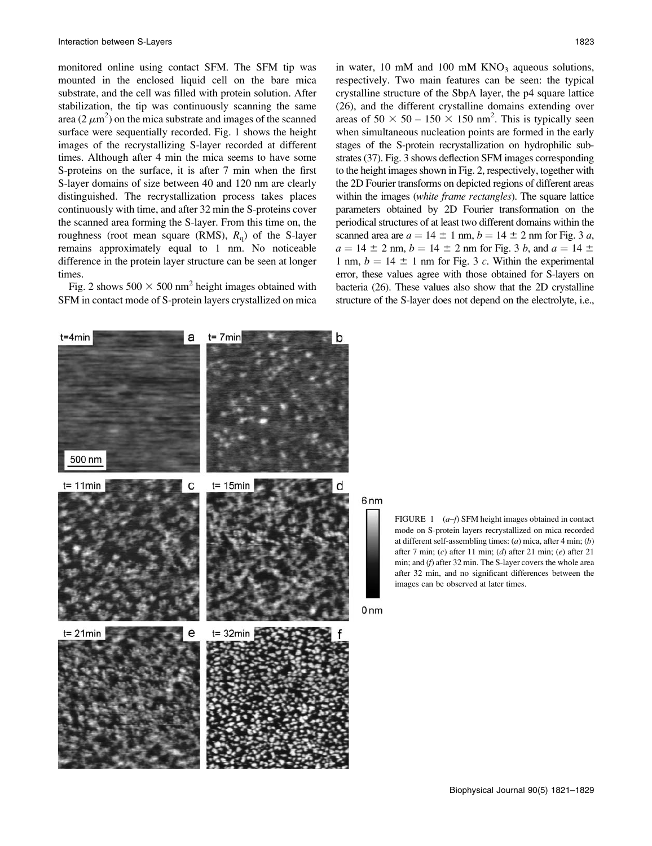monitored online using contact SFM. The SFM tip was mounted in the enclosed liquid cell on the bare mica substrate, and the cell was filled with protein solution. After stabilization, the tip was continuously scanning the same area  $(2 \mu m^2)$  on the mica substrate and images of the scanned<br>surface were sequentially recorded. Fig. 1 shows the beight surface were sequentially recorded. Fig. 1 shows the height images of the recrystallizing S-layer recorded at different times. Although after 4 min the mica seems to have some S-proteins on the surface, it is after 7 min when the first S-layer domains of size between 40 and 120 nm are clearly distinguished. The recrystallization process takes places continuously with time, and after 32 min the S-proteins cover the scanned area forming the S-layer. From this time on, the roughness (root mean square (RMS),  $R<sub>a</sub>$ ) of the S-layer remains approximately equal to 1 nm. No noticeable difference in the protein layer structure can be seen at longer times.

Fig. 2 shows  $500 \times 500$  nm<sup>2</sup> height images obtained with SFM in contact mode of S-protein layers crystallized on mica in water, 10 mM and 100 mM  $KNO<sub>3</sub>$  aqueous solutions, respectively. Two main features can be seen: the typical crystalline structure of the SbpA layer, the p4 square lattice (26), and the different crystalline domains extending over areas of  $50 \times 50 - 150 \times 150$  nm<sup>2</sup>. This is typically seen when simultaneous nucleation points are formed in the early stages of the S-protein recrystallization on hydrophilic substrates (37). Fig. 3 shows deflection SFM images corresponding to the height images shown in Fig. 2, respectively, together with the 2D Fourier transforms on depicted regions of different areas within the images *(white frame rectangles)*. The square lattice parameters obtained by 2D Fourier transformation on the periodical structures of at least two different domains within the scanned area are  $a = 14 \pm 1$  nm,  $b = 14 \pm 2$  nm for Fig. 3 a,  $a = 14 \pm 2$  nm,  $b = 14 \pm 2$  nm for Fig. 3 b, and  $a = 14 \pm 2$ 1 nm,  $b = 14 \pm 1$  nm for Fig. 3 c. Within the experimental error, these values agree with those obtained for S-layers on bacteria (26). These values also show that the 2D crystalline structure of the S-layer does not depend on the electrolyte, i.e.,



#### 6<sub>nm</sub>

FIGURE  $1 \quad (a-f)$  SFM height images obtained in contact mode on S-protein layers recrystallized on mica recorded at different self-assembling times:  $(a)$  mica, after 4 min;  $(b)$ after 7 min;  $(c)$  after 11 min;  $(d)$  after 21 min;  $(e)$  after 21 min; and (f) after 32 min. The S-layer covers the whole area after 32 min, and no significant differences between the images can be observed at later times.

 $0<sub>nm</sub>$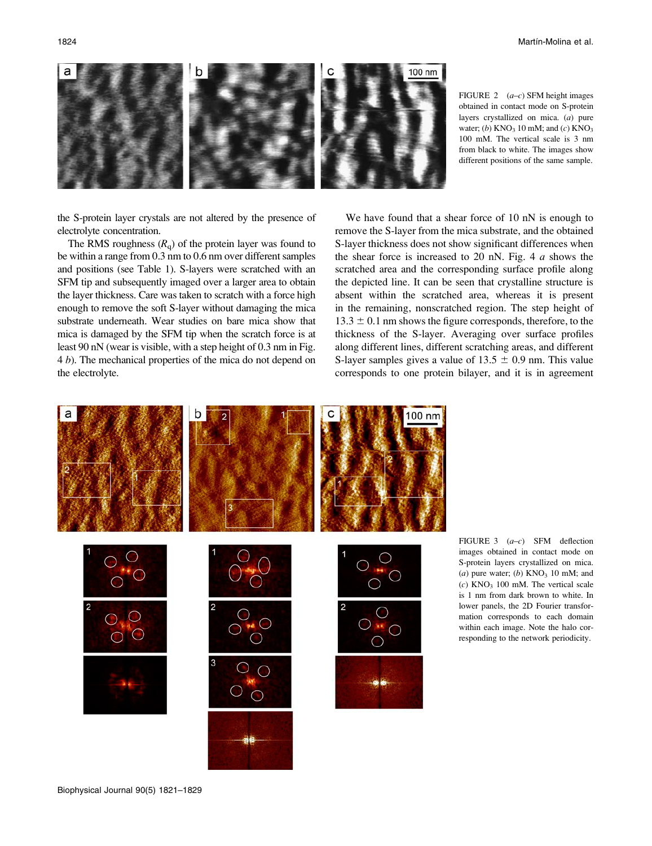

FIGURE 2  $(a-c)$  SFM height images obtained in contact mode on S-protein layers crystallized on mica. (a) pure water; (b)  $KNO<sub>3</sub> 10$  mM; and (c)  $KNO<sub>3</sub>$ 100 mM. The vertical scale is 3 nm from black to white. The images show different positions of the same sample.

the S-protein layer crystals are not altered by the presence of electrolyte concentration.

The RMS roughness  $(R_q)$  of the protein layer was found to be within a range from 0.3 nm to 0.6 nm over different samples and positions (see Table 1). S-layers were scratched with an SFM tip and subsequently imaged over a larger area to obtain the layer thickness. Care was taken to scratch with a force high enough to remove the soft S-layer without damaging the mica substrate underneath. Wear studies on bare mica show that mica is damaged by the SFM tip when the scratch force is at least 90 nN (wear is visible, with a step height of 0.3 nm in Fig. 4 b). The mechanical properties of the mica do not depend on the electrolyte.

We have found that a shear force of 10 nN is enough to remove the S-layer from the mica substrate, and the obtained S-layer thickness does not show significant differences when the shear force is increased to 20 nN. Fig. 4  $a$  shows the scratched area and the corresponding surface profile along the depicted line. It can be seen that crystalline structure is absent within the scratched area, whereas it is present in the remaining, nonscratched region. The step height of  $13.3 \pm 0.1$  nm shows the figure corresponds, therefore, to the thickness of the S-layer. Averaging over surface profiles along different lines, different scratching areas, and different S-layer samples gives a value of  $13.5 \pm 0.9$  nm. This value corresponds to one protein bilayer, and it is in agreement



FIGURE 3  $(a-c)$  SFM deflection images obtained in contact mode on S-protein layers crystallized on mica. (a) pure water; (b)  $KNO<sub>3</sub>$  10 mM; and  $(c)$  KNO<sub>3</sub> 100 mM. The vertical scale is 1 nm from dark brown to white. In lower panels, the 2D Fourier transformation corresponds to each domain within each image. Note the halo corresponding to the network periodicity.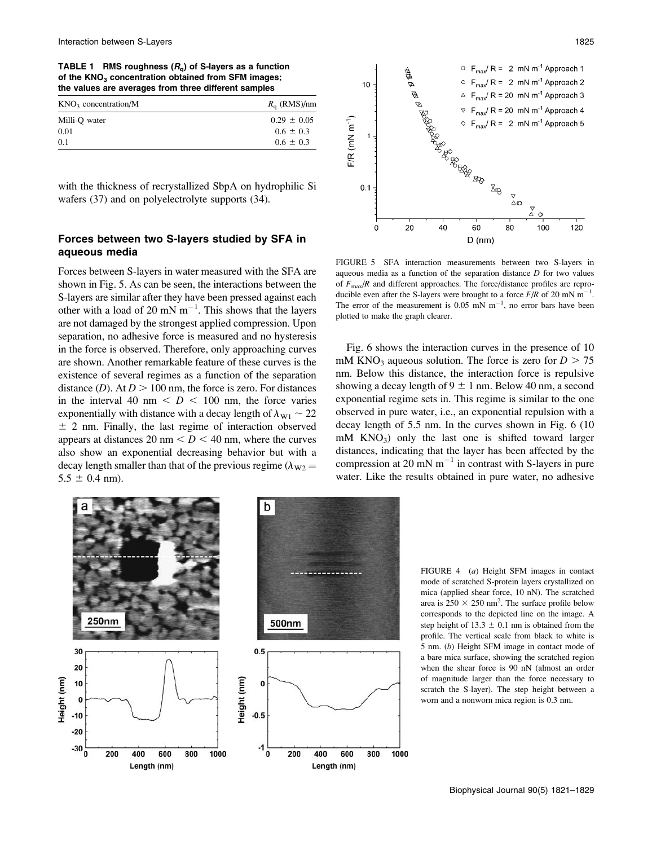TABLE 1 RMS roughness  $(R<sub>a</sub>)$  of S-layers as a function of the  $KNO<sub>3</sub>$  concentration obtained from SFM images; the values are averages from three different samples

| $KNO3$ concentration/M | $R_{\alpha}$ (RMS)/nm |
|------------------------|-----------------------|
| Milli-O water          | $0.29 \pm 0.05$       |
| 0.01                   | $0.6 \pm 0.3$         |
| 0.1                    | $0.6 \pm 0.3$         |

with the thickness of recrystallized SbpA on hydrophilic Si wafers (37) and on polyelectrolyte supports (34).

## Forces between two S-layers studied by SFA in aqueous media

Forces between S-layers in water measured with the SFA are shown in Fig. 5. As can be seen, the interactions between the S-layers are similar after they have been pressed against each other with a load of 20 mN  $\text{m}^{-1}$ . This shows that the layers are not damaged by the strongest applied compression. Upon separation, no adhesive force is measured and no hysteresis in the force is observed. Therefore, only approaching curves are shown. Another remarkable feature of these curves is the existence of several regimes as a function of the separation distance (D). At  $D > 100$  nm, the force is zero. For distances in the interval 40 nm  $\langle D \rangle$  100 nm, the force varies exponentially with distance with a decay length of  $\lambda_{W1} \sim 22$  $\pm$  2 nm. Finally, the last regime of interaction observed appears at distances 20 nm  $\leq D \leq 40$  nm, where the curves also show an exponential decreasing behavior but with a decay length smaller than that of the previous regime ( $\lambda_{W2}$  =  $5.5 \pm 0.4$  nm).



FIGURE 5 SFA interaction measurements between two S-layers in aqueous media as a function of the separation distance D for two values of  $F_{\text{max}}/R$  and different approaches. The force/distance profiles are reproducible even after the S-layers were brought to a force  $F/R$  of 20 mN m<sup>-1</sup>. The error of the measurement is 0.05 mN  $m^{-1}$ , no error bars have been plotted to make the graph clearer.

Fig. 6 shows the interaction curves in the presence of 10 mM KNO<sub>3</sub> aqueous solution. The force is zero for  $D > 75$ nm. Below this distance, the interaction force is repulsive showing a decay length of  $9 \pm 1$  nm. Below 40 nm, a second exponential regime sets in. This regime is similar to the one observed in pure water, i.e., an exponential repulsion with a decay length of 5.5 nm. In the curves shown in Fig. 6 (10  $mM$  KNO<sub>3</sub>) only the last one is shifted toward larger distances, indicating that the layer has been affected by the compression at 20 mN  $m^{-1}$  in contrast with S-layers in pure water. Like the results obtained in pure water, no adhesive



FIGURE 4 (a) Height SFM images in contact mode of scratched S-protein layers crystallized on mica (applied shear force, 10 nN). The scratched area is  $250 \times 250$  nm<sup>2</sup>. The surface profile below corresponds to the depicted line on the image. A step height of 13.3  $\pm$  0.1 nm is obtained from the profile. The vertical scale from black to white is 5 nm. (b) Height SFM image in contact mode of a bare mica surface, showing the scratched region when the shear force is 90 nN (almost an order of magnitude larger than the force necessary to scratch the S-layer). The step height between a worn and a nonworn mica region is 0.3 nm.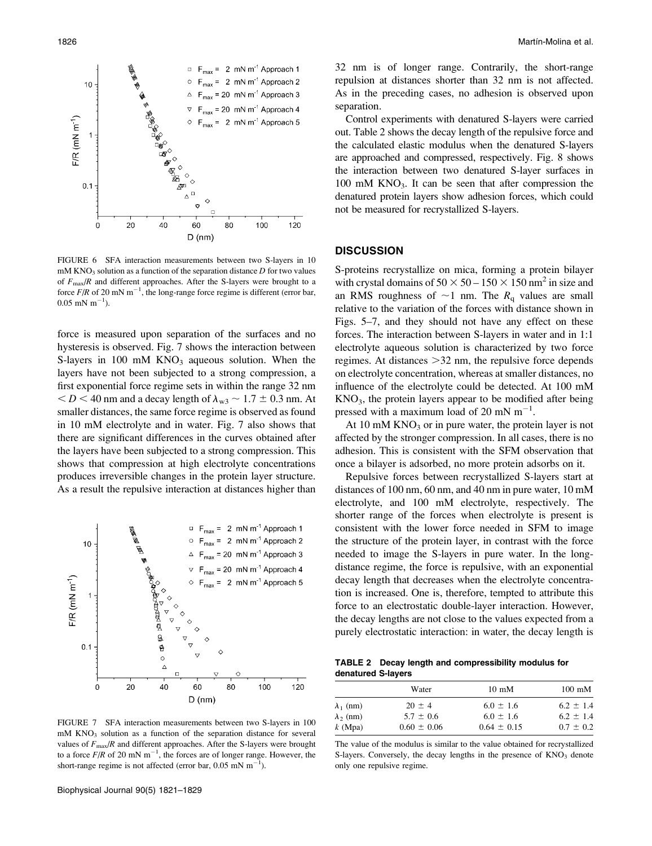

FIGURE 6 SFA interaction measurements between two S-layers in 10  $mM KNO<sub>3</sub>$  solution as a function of the separation distance D for two values of  $F_{\text{max}}/R$  and different approaches. After the S-layers were brought to a force  $F/R$  of 20 mN m<sup>-1</sup>, the long-range force regime is different (error bar,  $0.05$  mN m<sup>-1</sup>).

force is measured upon separation of the surfaces and no hysteresis is observed. Fig. 7 shows the interaction between S-layers in 100 mM  $KNO<sub>3</sub>$  aqueous solution. When the layers have not been subjected to a strong compression, a first exponential force regime sets in within the range 32 nm  $\langle D \rangle$  40 nm and a decay length of  $\lambda_{w3}$   $\sim$  1.7  $\pm$  0.3 nm. At smaller distances, the same force regime is observed as found in 10 mM electrolyte and in water. Fig. 7 also shows that there are significant differences in the curves obtained after the layers have been subjected to a strong compression. This shows that compression at high electrolyte concentrations produces irreversible changes in the protein layer structure. As a result the repulsive interaction at distances higher than



FIGURE 7 SFA interaction measurements between two S-layers in 100 mM KNO<sub>3</sub> solution as a function of the separation distance for several values of  $F_{\text{max}}/R$  and different approaches. After the S-layers were brought to a force  $F/R$  of 20 mN m<sup>-1</sup>, the forces are of longer range. However, the short-range regime is not affected (error bar,  $0.05$  mN m<sup>-1</sup>).

32 nm is of longer range. Contrarily, the short-range repulsion at distances shorter than 32 nm is not affected. As in the preceding cases, no adhesion is observed upon separation.

Control experiments with denatured S-layers were carried out. Table 2 shows the decay length of the repulsive force and the calculated elastic modulus when the denatured S-layers are approached and compressed, respectively. Fig. 8 shows the interaction between two denatured S-layer surfaces in  $100$  mM KNO<sub>3</sub>. It can be seen that after compression the denatured protein layers show adhesion forces, which could not be measured for recrystallized S-layers.

## **DISCUSSION**

S-proteins recrystallize on mica, forming a protein bilayer with crystal domains of  $50 \times 50 - 150 \times 150$  nm<sup>2</sup> in size and an RMS roughness of  $\sim$ 1 nm. The R<sub>q</sub> values are small relative to the variation of the forces with distance shown in Figs. 5–7, and they should not have any effect on these forces. The interaction between S-layers in water and in 1:1 electrolyte aqueous solution is characterized by two force regimes. At distances  $>32$  nm, the repulsive force depends on electrolyte concentration, whereas at smaller distances, no influence of the electrolyte could be detected. At 100 mM  $KNO<sub>3</sub>$ , the protein layers appear to be modified after being pressed with a maximum load of 20 mN  $m^{-1}$ .

At 10 mM  $KNO<sub>3</sub>$  or in pure water, the protein layer is not affected by the stronger compression. In all cases, there is no adhesion. This is consistent with the SFM observation that once a bilayer is adsorbed, no more protein adsorbs on it.

Repulsive forces between recrystallized S-layers start at distances of 100 nm, 60 nm, and 40 nm in pure water, 10 mM electrolyte, and 100 mM electrolyte, respectively. The shorter range of the forces when electrolyte is present is consistent with the lower force needed in SFM to image the structure of the protein layer, in contrast with the force needed to image the S-layers in pure water. In the longdistance regime, the force is repulsive, with an exponential decay length that decreases when the electrolyte concentration is increased. One is, therefore, tempted to attribute this force to an electrostatic double-layer interaction. However, the decay lengths are not close to the values expected from a purely electrostatic interaction: in water, the decay length is

TABLE 2 Decay length and compressibility modulus for denatured S-layers

|                  | Water           | $10 \text{ mM}$ | $100 \text{ mM}$ |
|------------------|-----------------|-----------------|------------------|
| $\lambda_1$ (nm) | $20 \pm 4$      | $6.0 \pm 1.6$   | $6.2 \pm 1.4$    |
| $\lambda_2$ (nm) | $5.7 \pm 0.6$   | $6.0 \pm 1.6$   | $6.2 \pm 1.4$    |
| $k$ (Mpa)        | $0.60 \pm 0.06$ | $0.64 \pm 0.15$ | $0.7 \pm 0.2$    |

The value of the modulus is similar to the value obtained for recrystallized S-layers. Conversely, the decay lengths in the presence of  $KNO<sub>3</sub>$  denote only one repulsive regime.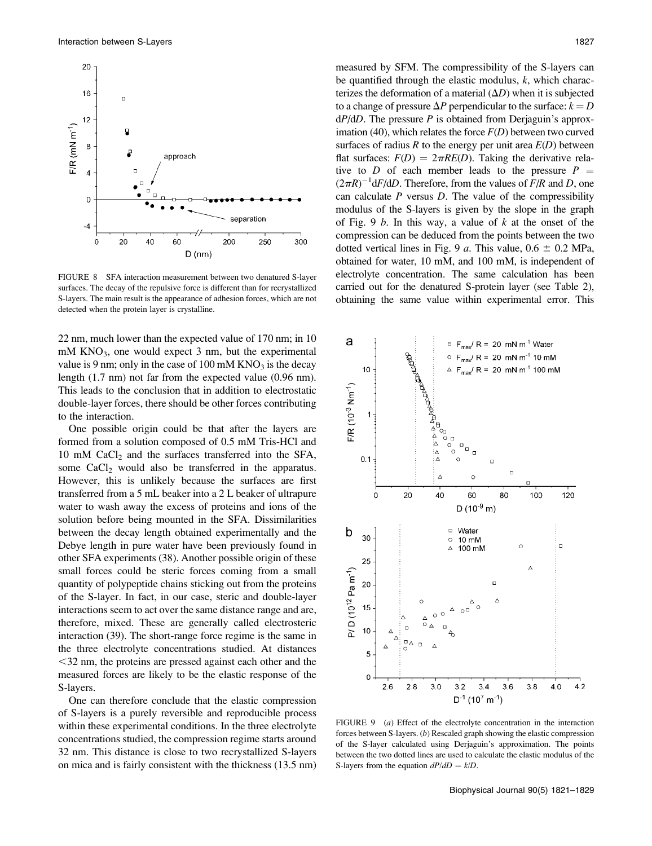

FIGURE 8 SFA interaction measurement between two denatured S-layer surfaces. The decay of the repulsive force is different than for recrystallized S-layers. The main result is the appearance of adhesion forces, which are not detected when the protein layer is crystalline.

22 nm, much lower than the expected value of 170 nm; in 10  $mM KNO<sub>3</sub>$ , one would expect 3 nm, but the experimental value is 9 nm; only in the case of  $100 \text{ mM KNO}_3$  is the decay length (1.7 nm) not far from the expected value (0.96 nm). This leads to the conclusion that in addition to electrostatic double-layer forces, there should be other forces contributing to the interaction.

One possible origin could be that after the layers are formed from a solution composed of 0.5 mM Tris-HCl and 10 mM  $CaCl<sub>2</sub>$  and the surfaces transferred into the SFA, some  $CaCl<sub>2</sub>$  would also be transferred in the apparatus. However, this is unlikely because the surfaces are first transferred from a 5 mL beaker into a 2 L beaker of ultrapure water to wash away the excess of proteins and ions of the solution before being mounted in the SFA. Dissimilarities between the decay length obtained experimentally and the Debye length in pure water have been previously found in other SFA experiments (38). Another possible origin of these small forces could be steric forces coming from a small quantity of polypeptide chains sticking out from the proteins of the S-layer. In fact, in our case, steric and double-layer interactions seem to act over the same distance range and are, therefore, mixed. These are generally called electrosteric interaction (39). The short-range force regime is the same in the three electrolyte concentrations studied. At distances  $<$ 32 nm, the proteins are pressed against each other and the measured forces are likely to be the elastic response of the S-layers.

One can therefore conclude that the elastic compression of S-layers is a purely reversible and reproducible process within these experimental conditions. In the three electrolyte concentrations studied, the compression regime starts around 32 nm. This distance is close to two recrystallized S-layers on mica and is fairly consistent with the thickness (13.5 nm) measured by SFM. The compressibility of the S-layers can be quantified through the elastic modulus,  $k$ , which characterizes the deformation of a material  $(\Delta D)$  when it is subjected to a change of pressure  $\Delta P$  perpendicular to the surface:  $k = D$  $dP/dD$ . The pressure P is obtained from Derjaguin's approximation (40), which relates the force  $F(D)$  between two curved surfaces of radius R to the energy per unit area  $E(D)$  between flat surfaces:  $F(D) = 2\pi RE(D)$ . Taking the derivative relative to D of each member leads to the pressure  $P =$  $(2\pi R)^{-1} dF/dD$ . Therefore, from the values of  $F/R$  and D, one<br>can calculate P versus D. The value of the compressibility can calculate  $P$  versus  $D$ . The value of the compressibility modulus of the S-layers is given by the slope in the graph of Fig. 9  $b$ . In this way, a value of  $k$  at the onset of the compression can be deduced from the points between the two dotted vertical lines in Fig. 9 a. This value,  $0.6 \pm 0.2$  MPa, obtained for water, 10 mM, and 100 mM, is independent of electrolyte concentration. The same calculation has been carried out for the denatured S-protein layer (see Table 2), obtaining the same value within experimental error. This



FIGURE 9 (a) Effect of the electrolyte concentration in the interaction forces between S-layers. (b) Rescaled graph showing the elastic compression of the S-layer calculated using Derjaguin's approximation. The points between the two dotted lines are used to calculate the elastic modulus of the S-layers from the equation  $dP/dD = k/D$ .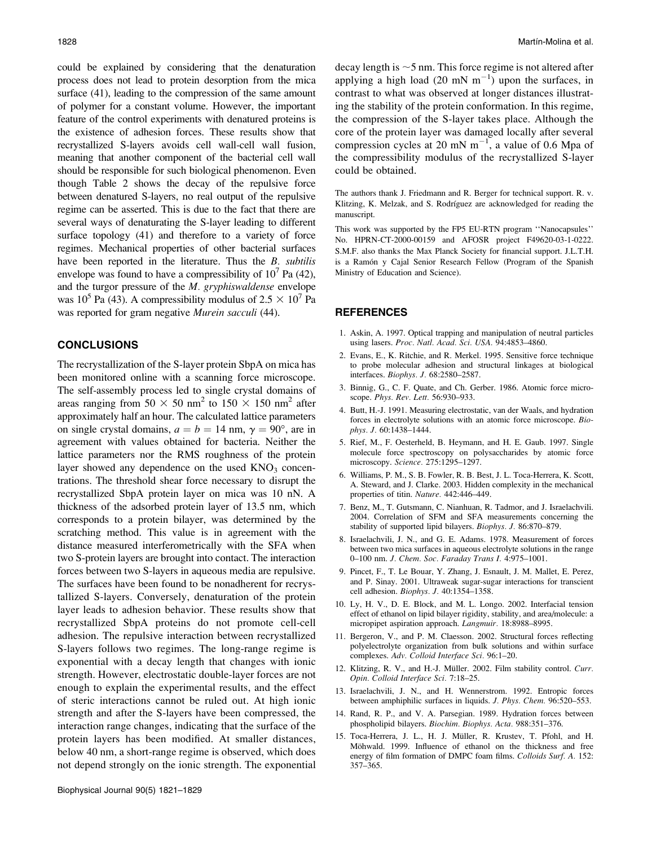could be explained by considering that the denaturation process does not lead to protein desorption from the mica surface (41), leading to the compression of the same amount of polymer for a constant volume. However, the important feature of the control experiments with denatured proteins is the existence of adhesion forces. These results show that recrystallized S-layers avoids cell wall-cell wall fusion, meaning that another component of the bacterial cell wall should be responsible for such biological phenomenon. Even though Table 2 shows the decay of the repulsive force between denatured S-layers, no real output of the repulsive regime can be asserted. This is due to the fact that there are several ways of denaturating the S-layer leading to different surface topology  $(41)$  and therefore to a variety of force regimes. Mechanical properties of other bacterial surfaces have been reported in the literature. Thus the *B*. *subtilis* envelope was found to have a compressibility of  $10^7$  Pa (42), and the turgor pressure of the M. gryphiswaldense envelope was 10<sup>5</sup> Pa (43). A compressibility modulus of  $2.5 \times 10^7$  Pa was reported for gram negative Murein sacculi (44).

#### CONCLUSIONS

The recrystallization of the S-layer protein SbpA on mica has been monitored online with a scanning force microscope. The self-assembly process led to single crystal domains of areas ranging from  $50 \times 50$  nm<sup>2</sup> to  $150 \times 150$  nm<sup>2</sup> after approximately half an hour. The calculated lattice parameters on single crystal domains,  $a = b = 14$  nm,  $\gamma = 90^{\circ}$ , are in agreement with values obtained for bacteria. Neither the agreement with values obtained for bacteria. Neither the lattice parameters nor the RMS roughness of the protein layer showed any dependence on the used  $KNO<sub>3</sub>$  concentrations. The threshold shear force necessary to disrupt the recrystallized SbpA protein layer on mica was 10 nN. A thickness of the adsorbed protein layer of 13.5 nm, which corresponds to a protein bilayer, was determined by the scratching method. This value is in agreement with the distance measured interferometrically with the SFA when two S-protein layers are brought into contact. The interaction forces between two S-layers in aqueous media are repulsive. The surfaces have been found to be nonadherent for recrystallized S-layers. Conversely, denaturation of the protein layer leads to adhesion behavior. These results show that recrystallized SbpA proteins do not promote cell-cell adhesion. The repulsive interaction between recrystallized S-layers follows two regimes. The long-range regime is exponential with a decay length that changes with ionic strength. However, electrostatic double-layer forces are not enough to explain the experimental results, and the effect of steric interactions cannot be ruled out. At high ionic strength and after the S-layers have been compressed, the interaction range changes, indicating that the surface of the protein layers has been modified. At smaller distances, below 40 nm, a short-range regime is observed, which does not depend strongly on the ionic strength. The exponential

decay length is  $\sim$  5 nm. This force regime is not altered after applying a high load  $(20 \text{ mN m}^{-1})$  upon the surfaces, in contrast to what was observed at longer distances illustrating the stability of the protein conformation. In this regime, the compression of the S-layer takes place. Although the core of the protein layer was damaged locally after several compression cycles at 20 mN  $m^{-1}$ , a value of 0.6 Mpa of the compressibility modulus of the recrystallized S-layer could be obtained.

The authors thank J. Friedmann and R. Berger for technical support. R. v. Klitzing, K. Melzak, and S. Rodríguez are acknowledged for reading the manuscript.

This work was supported by the FP5 EU-RTN program ''Nanocapsules'' No. HPRN-CT-2000-00159 and AFOSR project F49620-03-1-0222. S.M.F. also thanks the Max Planck Society for financial support. J.L.T.H. is a Ramón y Cajal Senior Research Fellow (Program of the Spanish Ministry of Education and Science).

#### **REFERENCES**

- 1. Askin, A. 1997. Optical trapping and manipulation of neutral particles using lasers. Proc. Natl. Acad. Sci. USA. 94:4853–4860.
- 2. Evans, E., K. Ritchie, and R. Merkel. 1995. Sensitive force technique to probe molecular adhesion and structural linkages at biological interfaces. Biophys. J. 68:2580–2587.
- 3. Binnig, G., C. F. Quate, and Ch. Gerber. 1986. Atomic force microscope. Phys. Rev. Lett. 56:930–933.
- 4. Butt, H.-J. 1991. Measuring electrostatic, van der Waals, and hydration forces in electrolyte solutions with an atomic force microscope. Biophys. J. 60:1438–1444.
- 5. Rief, M., F. Oesterheld, B. Heymann, and H. E. Gaub. 1997. Single molecule force spectroscopy on polysaccharides by atomic force microscopy. Science. 275:1295–1297.
- 6. Williams, P. M., S. B. Fowler, R. B. Best, J. L. Toca-Herrera, K. Scott, A. Steward, and J. Clarke. 2003. Hidden complexity in the mechanical properties of titin. Nature. 442:446–449.
- 7. Benz, M., T. Gutsmann, C. Nianhuan, R. Tadmor, and J. Israelachvili. 2004. Correlation of SFM and SFA measurements concerning the stability of supported lipid bilayers. Biophys. J. 86:870–879.
- 8. Israelachvili, J. N., and G. E. Adams. 1978. Measurement of forces between two mica surfaces in aqueous electrolyte solutions in the range 0–100 nm. J. Chem. Soc. Faraday Trans I. 4:975–1001.
- 9. Pincet, F., T. Le Bouar, Y. Zhang, J. Esnault, J. M. Mallet, E. Perez, and P. Sinay. 2001. Ultraweak sugar-sugar interactions for transcient cell adhesion. Biophys. J. 40:1354–1358.
- 10. Ly, H. V., D. E. Block, and M. L. Longo. 2002. Interfacial tension effect of ethanol on lipid bilayer rigidity, stability, and area/molecule: a micropipet aspiration approach. Langmuir. 18:8988–8995.
- 11. Bergeron, V., and P. M. Claesson. 2002. Structural forces reflecting polyelectrolyte organization from bulk solutions and within surface complexes. Adv. Colloid Interface Sci. 96:1–20.
- 12. Klitzing, R. V., and H.-J. Müller. 2002. Film stability control. Curr. Opin. Colloid Interface Sci. 7:18–25.
- 13. Israelachvili, J. N., and H. Wennerstrom. 1992. Entropic forces between amphiphilic surfaces in liquids. J. Phys. Chem. 96:520–553.
- 14. Rand, R. P., and V. A. Parsegian. 1989. Hydration forces between phospholipid bilayers. Biochim. Biophys. Acta. 988:351–376.
- 15. Toca-Herrera, J. L., H. J. Müller, R. Krustev, T. Pfohl, and H. Möhwald. 1999. Influence of ethanol on the thickness and free energy of film formation of DMPC foam films. Colloids Surf. A. 152: 357–365.